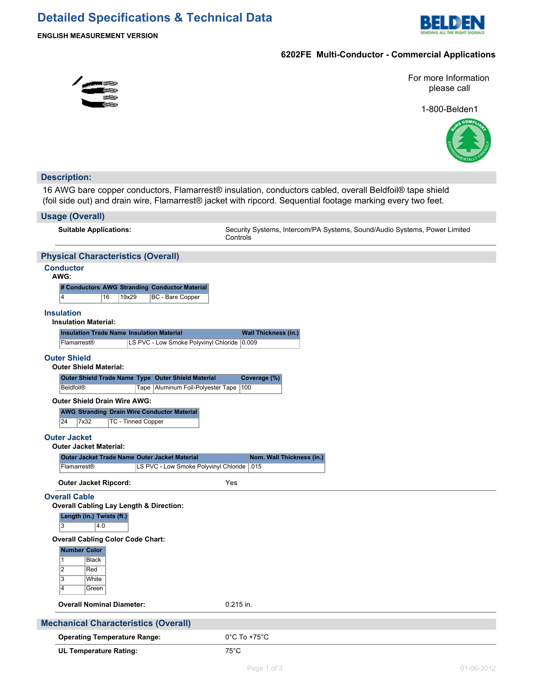# **Detailed Specifications & Technical Data**



# **6202FE Multi-Conductor - Commercial Applications**

For more Information please call

1-800-Belden1



# **Description:**

16 AWG bare copper conductors, Flamarrest® insulation, conductors cabled, overall Beldfoil® tape shield (foil side out) and drain wire, Flamarrest® jacket with ripcord. Sequential footage marking every two feet.

## **Usage (Overall)**

**Suitable Applications:** Security Systems, Intercom/PA Systems, Sound/Audio Systems, Power Limited **Controls** 

# **Physical Characteristics (Overall)**

#### **Conductor AWG:**

| # Conductors AWG Stranding Conductor Material | .WG: |  |  |
|-----------------------------------------------|------|--|--|
|                                               |      |  |  |

4 16 19x29 BC - Bare Copper

#### **Insulation**

### **Insulation Material:**

| <b>Insulation Trade Name Insulation Material</b> |                                             | <b>Wall Thickness (in.)</b> |
|--------------------------------------------------|---------------------------------------------|-----------------------------|
| <b>Flamarrest®</b>                               | LS PVC - Low Smoke Polyvinyl Chloride 0.009 |                             |

# **Outer Shield**

| Outer Shield Trade Name Type Outer Shield Material |                                           | Coverage (%) |
|----------------------------------------------------|-------------------------------------------|--------------|
| <b>Beldfoil®</b>                                   | Tape   Aluminum Foil-Polyester Tape   100 |              |

#### **Outer Shield Drain Wire AWG:**

**AWG Stranding Drain Wire Conductor Material** 24 7x32 TC - Tinned Copper

#### **Outer Jacket Outer Jacket Material:**

| Outer Jacket Trade Name Outer Jacket Material |                                             | Nom. Wall Thickness (in.) |
|-----------------------------------------------|---------------------------------------------|---------------------------|
| <b>Flamarrest®</b>                            | LS PVC - Low Smoke Polyvinyl Chloride   015 |                           |

**Outer Jacket Ripcord:** Yes

#### **Overall Cable**

**Overall Cabling Lay Length & Direction:**

**Length (in.) Twists (ft.)**

 $3 \t | 4.0$ 

## **Overall Cabling Color Code Chart:**

# **Number Color**

|   | Black |
|---|-------|
| 2 | Red   |
| 3 | White |
| 4 | Green |

**Overall Nominal Diameter:** 0.215 in.

| <b>Mechanical Characteristics (Overall)</b> |                                   |
|---------------------------------------------|-----------------------------------|
| <b>Operating Temperature Range:</b>         | $0^{\circ}$ C To +75 $^{\circ}$ C |
| <b>UL Temperature Rating:</b>               | 75°C                              |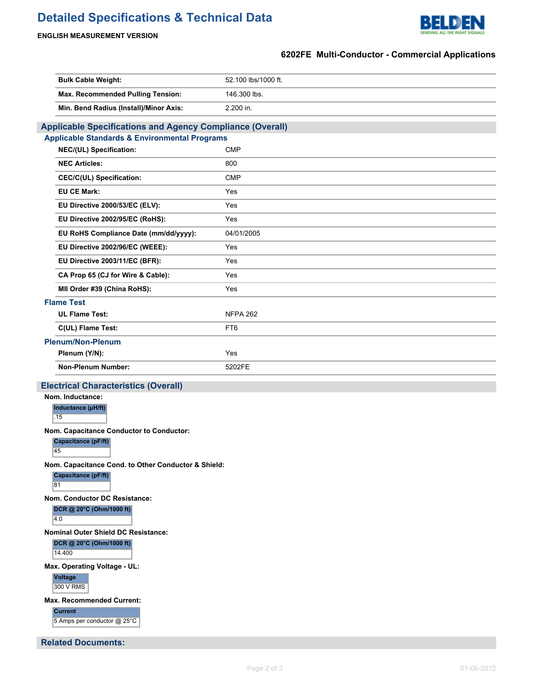# **Detailed Specifications & Technical Data**



# **ENGLISH MEASUREMENT VERSION**

# **6202FE Multi-Conductor - Commercial Applications**

| <b>Bulk Cable Weight:</b>                                        | 52.100 lbs/1000 ft. |
|------------------------------------------------------------------|---------------------|
| Max. Recommended Pulling Tension:                                | 146.300 lbs.        |
| Min. Bend Radius (Install)/Minor Axis:                           | 2.200 in.           |
| <b>Applicable Specifications and Agency Compliance (Overall)</b> |                     |
| <b>Applicable Standards &amp; Environmental Programs</b>         |                     |
| NEC/(UL) Specification:                                          | <b>CMP</b>          |
| <b>NEC Articles:</b>                                             | 800                 |
| <b>CEC/C(UL) Specification:</b>                                  | <b>CMP</b>          |
| <b>EU CE Mark:</b>                                               | Yes                 |
| EU Directive 2000/53/EC (ELV):                                   | Yes                 |
| EU Directive 2002/95/EC (RoHS):                                  | Yes                 |
| EU RoHS Compliance Date (mm/dd/yyyy):                            | 04/01/2005          |
| EU Directive 2002/96/EC (WEEE):                                  | Yes                 |
| EU Directive 2003/11/EC (BFR):                                   | Yes                 |
| CA Prop 65 (CJ for Wire & Cable):                                | Yes                 |
| MII Order #39 (China RoHS):                                      | Yes                 |
| <b>Flame Test</b>                                                |                     |
| <b>UL Flame Test:</b>                                            | <b>NFPA 262</b>     |
| C(UL) Flame Test:                                                | FT <sub>6</sub>     |
| <b>Plenum/Non-Plenum</b>                                         |                     |
|                                                                  | Yes                 |
| Plenum (Y/N):                                                    |                     |
| <b>Non-Plenum Number:</b>                                        | 5202FE              |
| <b>Electrical Characteristics (Overall)</b>                      |                     |
| Nom. Inductance:                                                 |                     |
| Inductance (µH/ft)<br>.15                                        |                     |
| Nom. Capacitance Conductor to Conductor:                         |                     |
| Capacitance (pF/ft)<br>45                                        |                     |
| Nom. Capacitance Cond. to Other Conductor & Shield:              |                     |
| Capacitance (pF/ft)<br>81                                        |                     |
| Nom. Conductor DC Resistance:                                    |                     |
| DCR @ 20°C (Ohm/1000 ft)<br>4.0                                  |                     |
| <b>Nominal Outer Shield DC Resistance:</b>                       |                     |
| DCR @ 20°C (Ohm/1000 ft)<br>14.400                               |                     |
| Max. Operating Voltage - UL:                                     |                     |
| Voltage<br>300 V RMS                                             |                     |
| Max. Recommended Current:                                        |                     |
| <b>Current</b><br>5 Amps per conductor @ 25°C                    |                     |